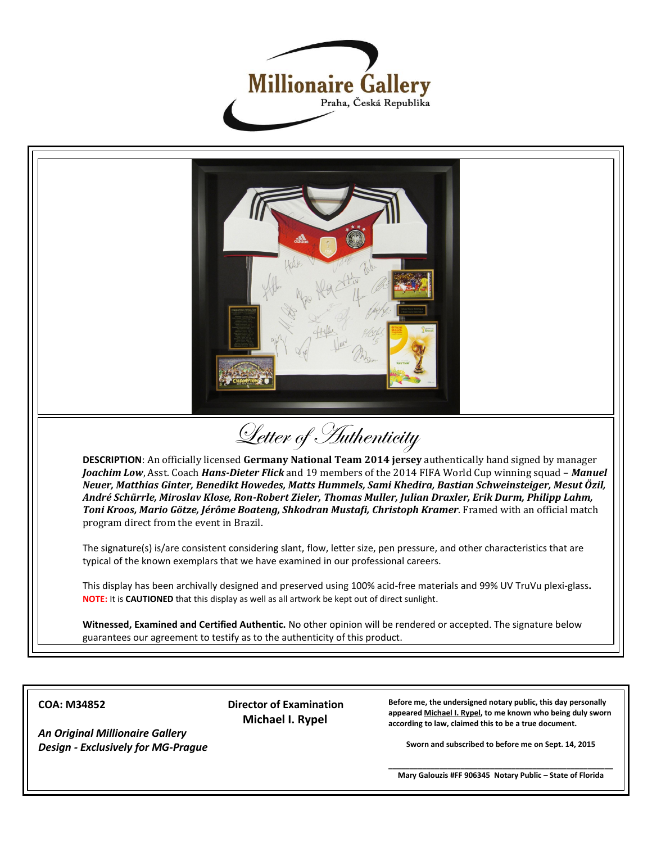



## **COA: M34852**

*An Original Millionaire Gallery Design - Exclusively for MG-Prague*  **Director of Examination Michael I. Rypel**

**Before me, the undersigned notary public, this day personally appeared Michael I. Rypel, to me known who being duly sworn according to law, claimed this to be a true document.**

**Sworn and subscribed to before me on Sept. 14, 2015**

**\_\_\_\_\_\_\_\_\_\_\_\_\_\_\_\_\_\_\_\_\_\_\_\_\_\_\_\_\_\_\_\_\_\_\_\_\_\_\_\_\_\_\_\_\_\_\_\_\_\_\_\_\_ Mary Galouzis #FF 906345 Notary Public – State of Florida**